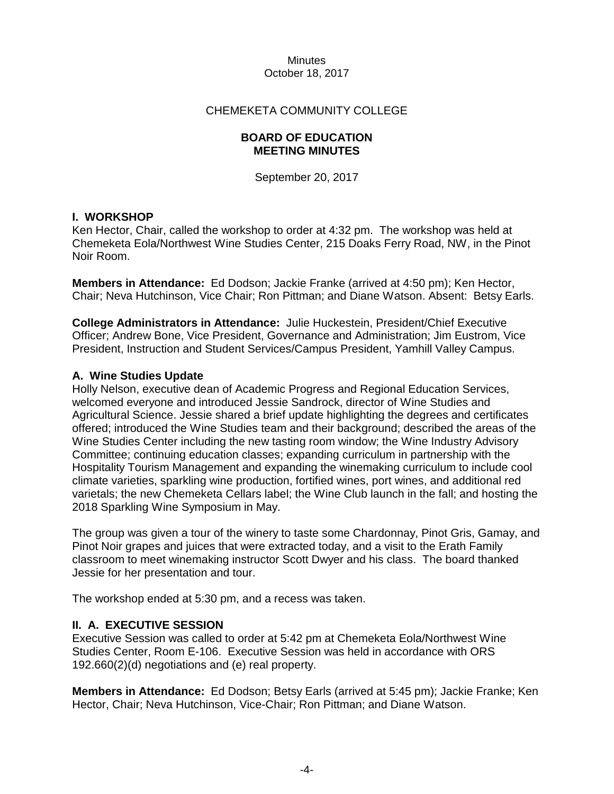## CHEMEKETA COMMUNITY COLLEGE

#### **BOARD OF EDUCATION MEETING MINUTES**

September 20, 2017

#### **I. WORKSHOP**

Ken Hector, Chair, called the workshop to order at 4:32 pm. The workshop was held at Chemeketa Eola/Northwest Wine Studies Center, 215 Doaks Ferry Road, NW, in the Pinot Noir Room.

**Members in Attendance:** Ed Dodson; Jackie Franke (arrived at 4:50 pm); Ken Hector, Chair; Neva Hutchinson, Vice Chair; Ron Pittman; and Diane Watson. Absent: Betsy Earls.

**College Administrators in Attendance:** Julie Huckestein, President/Chief Executive Officer; Andrew Bone, Vice President, Governance and Administration; Jim Eustrom, Vice President, Instruction and Student Services/Campus President, Yamhill Valley Campus.

#### **A. Wine Studies Update**

Holly Nelson, executive dean of Academic Progress and Regional Education Services, welcomed everyone and introduced Jessie Sandrock, director of Wine Studies and Agricultural Science. Jessie shared a brief update highlighting the degrees and certificates offered; introduced the Wine Studies team and their background; described the areas of the Wine Studies Center including the new tasting room window; the Wine Industry Advisory Committee; continuing education classes; expanding curriculum in partnership with the Hospitality Tourism Management and expanding the winemaking curriculum to include cool climate varieties, sparkling wine production, fortified wines, port wines, and additional red varietals; the new Chemeketa Cellars label; the Wine Club launch in the fall; and hosting the 2018 Sparkling Wine Symposium in May.

The group was given a tour of the winery to taste some Chardonnay, Pinot Gris, Gamay, and Pinot Noir grapes and juices that were extracted today, and a visit to the Erath Family classroom to meet winemaking instructor Scott Dwyer and his class. The board thanked Jessie for her presentation and tour.

The workshop ended at 5:30 pm, and a recess was taken.

#### **II. A. EXECUTIVE SESSION**

Executive Session was called to order at 5:42 pm at Chemeketa Eola/Northwest Wine Studies Center, Room E-106. Executive Session was held in accordance with ORS 192.660(2)(d) negotiations and (e) real property.

**Members in Attendance:** Ed Dodson; Betsy Earls (arrived at 5:45 pm); Jackie Franke; Ken Hector, Chair; Neva Hutchinson, Vice-Chair; Ron Pittman; and Diane Watson.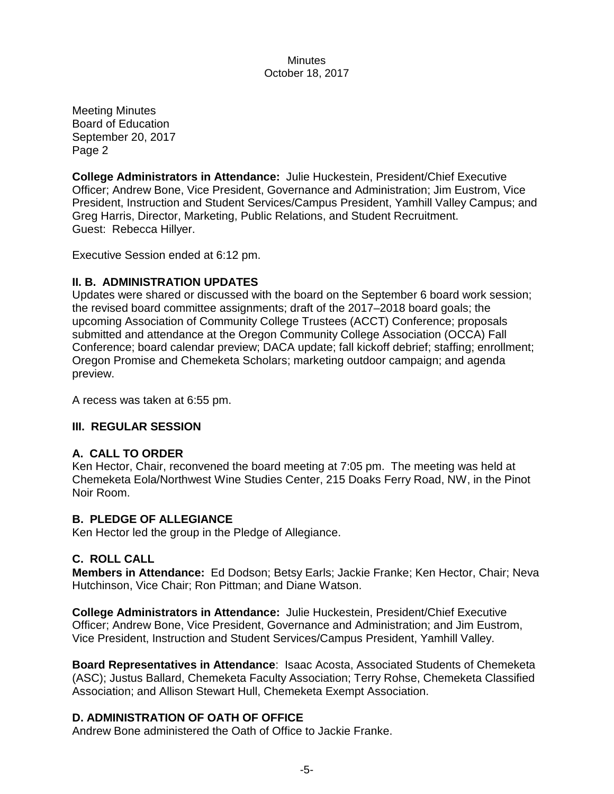Meeting Minutes Board of Education September 20, 2017 Page 2

**College Administrators in Attendance:** Julie Huckestein, President/Chief Executive Officer; Andrew Bone, Vice President, Governance and Administration; Jim Eustrom, Vice President, Instruction and Student Services/Campus President, Yamhill Valley Campus; and Greg Harris, Director, Marketing, Public Relations, and Student Recruitment. Guest: Rebecca Hillyer.

Executive Session ended at 6:12 pm.

## **II. B. ADMINISTRATION UPDATES**

Updates were shared or discussed with the board on the September 6 board work session; the revised board committee assignments; draft of the 2017–2018 board goals; the upcoming Association of Community College Trustees (ACCT) Conference; proposals submitted and attendance at the Oregon Community College Association (OCCA) Fall Conference; board calendar preview; DACA update; fall kickoff debrief; staffing; enrollment; Oregon Promise and Chemeketa Scholars; marketing outdoor campaign; and agenda preview.

A recess was taken at 6:55 pm.

## **III. REGULAR SESSION**

## **A. CALL TO ORDER**

Ken Hector, Chair, reconvened the board meeting at 7:05 pm. The meeting was held at Chemeketa Eola/Northwest Wine Studies Center, 215 Doaks Ferry Road, NW, in the Pinot Noir Room.

## **B. PLEDGE OF ALLEGIANCE**

Ken Hector led the group in the Pledge of Allegiance.

## **C. ROLL CALL**

**Members in Attendance:** Ed Dodson; Betsy Earls; Jackie Franke; Ken Hector, Chair; Neva Hutchinson, Vice Chair; Ron Pittman; and Diane Watson.

**College Administrators in Attendance:** Julie Huckestein, President/Chief Executive Officer; Andrew Bone, Vice President, Governance and Administration; and Jim Eustrom, Vice President, Instruction and Student Services/Campus President, Yamhill Valley.

**Board Representatives in Attendance**: Isaac Acosta, Associated Students of Chemeketa (ASC); Justus Ballard, Chemeketa Faculty Association; Terry Rohse, Chemeketa Classified Association; and Allison Stewart Hull, Chemeketa Exempt Association.

## **D. ADMINISTRATION OF OATH OF OFFICE**

Andrew Bone administered the Oath of Office to Jackie Franke.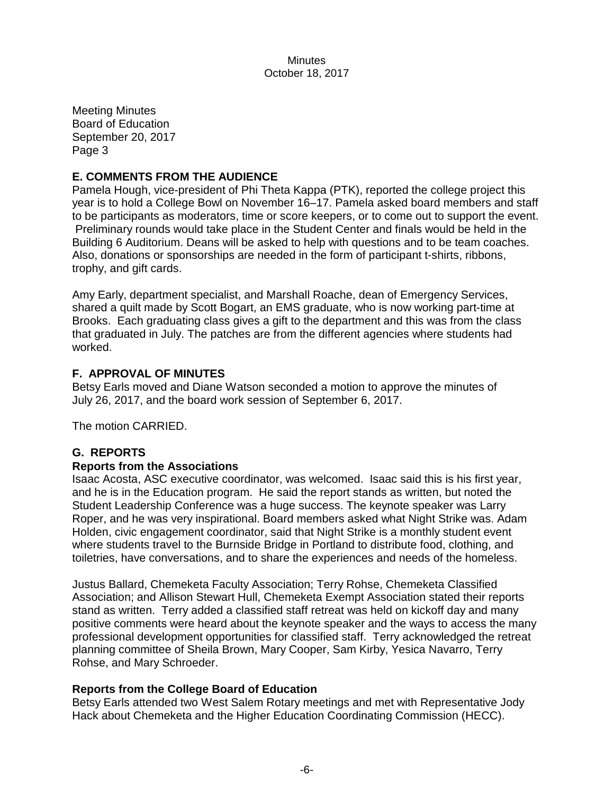Meeting Minutes Board of Education September 20, 2017 Page 3

# **E. COMMENTS FROM THE AUDIENCE**

Pamela Hough, vice-president of Phi Theta Kappa (PTK), reported the college project this year is to hold a College Bowl on November 16–17. Pamela asked board members and staff to be participants as moderators, time or score keepers, or to come out to support the event. Preliminary rounds would take place in the Student Center and finals would be held in the Building 6 Auditorium. Deans will be asked to help with questions and to be team coaches. Also, donations or sponsorships are needed in the form of participant t-shirts, ribbons, trophy, and gift cards.

Amy Early, department specialist, and Marshall Roache, dean of Emergency Services, shared a quilt made by Scott Bogart, an EMS graduate, who is now working part-time at Brooks. Each graduating class gives a gift to the department and this was from the class that graduated in July. The patches are from the different agencies where students had worked.

# **F. APPROVAL OF MINUTES**

Betsy Earls moved and Diane Watson seconded a motion to approve the minutes of July 26, 2017, and the board work session of September 6, 2017.

The motion CARRIED.

# **G. REPORTS**

## **Reports from the Associations**

Isaac Acosta, ASC executive coordinator, was welcomed. Isaac said this is his first year, and he is in the Education program. He said the report stands as written, but noted the Student Leadership Conference was a huge success. The keynote speaker was Larry Roper, and he was very inspirational. Board members asked what Night Strike was. Adam Holden, civic engagement coordinator, said that Night Strike is a monthly student event where students travel to the Burnside Bridge in Portland to distribute food, clothing, and toiletries, have conversations, and to share the experiences and needs of the homeless.

Justus Ballard, Chemeketa Faculty Association; Terry Rohse, Chemeketa Classified Association; and Allison Stewart Hull, Chemeketa Exempt Association stated their reports stand as written. Terry added a classified staff retreat was held on kickoff day and many positive comments were heard about the keynote speaker and the ways to access the many professional development opportunities for classified staff. Terry acknowledged the retreat planning committee of Sheila Brown, Mary Cooper, Sam Kirby, Yesica Navarro, Terry Rohse, and Mary Schroeder.

## **Reports from the College Board of Education**

Betsy Earls attended two West Salem Rotary meetings and met with Representative Jody Hack about Chemeketa and the Higher Education Coordinating Commission (HECC).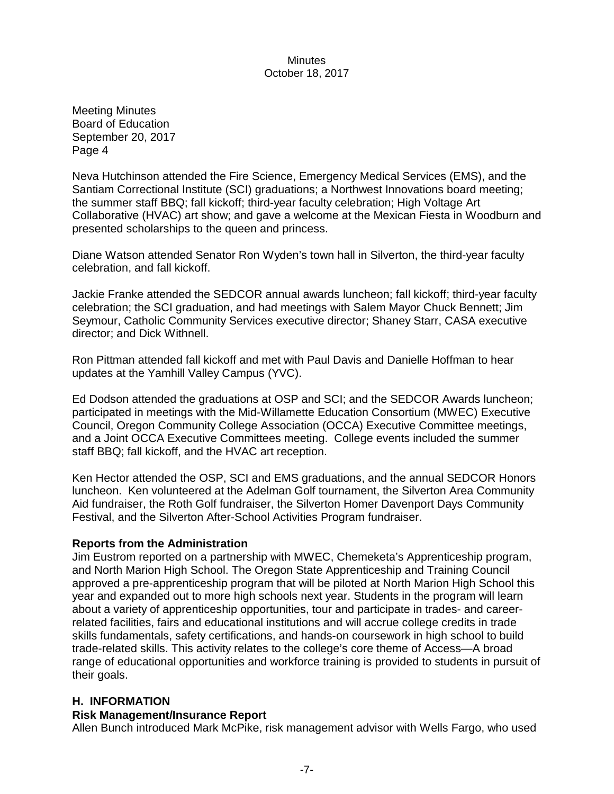Meeting Minutes Board of Education September 20, 2017 Page 4

Neva Hutchinson attended the Fire Science, Emergency Medical Services (EMS), and the Santiam Correctional Institute (SCI) graduations; a Northwest Innovations board meeting; the summer staff BBQ; fall kickoff; third-year faculty celebration; High Voltage Art Collaborative (HVAC) art show; and gave a welcome at the Mexican Fiesta in Woodburn and presented scholarships to the queen and princess.

Diane Watson attended Senator Ron Wyden's town hall in Silverton, the third-year faculty celebration, and fall kickoff.

Jackie Franke attended the SEDCOR annual awards luncheon; fall kickoff; third-year faculty celebration; the SCI graduation, and had meetings with Salem Mayor Chuck Bennett; Jim Seymour, Catholic Community Services executive director; Shaney Starr, CASA executive director; and Dick Withnell.

Ron Pittman attended fall kickoff and met with Paul Davis and Danielle Hoffman to hear updates at the Yamhill Valley Campus (YVC).

Ed Dodson attended the graduations at OSP and SCI; and the SEDCOR Awards luncheon; participated in meetings with the Mid-Willamette Education Consortium (MWEC) Executive Council, Oregon Community College Association (OCCA) Executive Committee meetings, and a Joint OCCA Executive Committees meeting. College events included the summer staff BBQ; fall kickoff, and the HVAC art reception.

Ken Hector attended the OSP, SCI and EMS graduations, and the annual SEDCOR Honors luncheon. Ken volunteered at the Adelman Golf tournament, the Silverton Area Community Aid fundraiser, the Roth Golf fundraiser, the Silverton Homer Davenport Days Community Festival, and the Silverton After-School Activities Program fundraiser.

## **Reports from the Administration**

Jim Eustrom reported on a partnership with MWEC, Chemeketa's Apprenticeship program, and North Marion High School. The Oregon State Apprenticeship and Training Council approved a pre-apprenticeship program that will be piloted at North Marion High School this year and expanded out to more high schools next year. Students in the program will learn about a variety of apprenticeship opportunities, tour and participate in trades- and careerrelated facilities, fairs and educational institutions and will accrue college credits in trade skills fundamentals, safety certifications, and hands-on coursework in high school to build trade-related skills. This activity relates to the college's core theme of Access—A broad range of educational opportunities and workforce training is provided to students in pursuit of their goals.

## **H. INFORMATION**

# **Risk Management/Insurance Report**

Allen Bunch introduced Mark McPike, risk management advisor with Wells Fargo, who used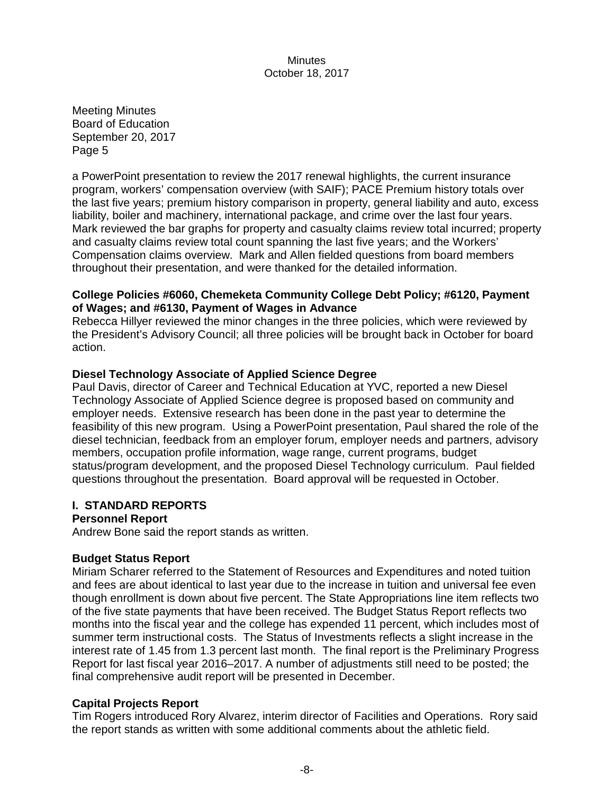Meeting Minutes Board of Education September 20, 2017 Page 5

a PowerPoint presentation to review the 2017 renewal highlights, the current insurance program, workers' compensation overview (with SAIF); PACE Premium history totals over the last five years; premium history comparison in property, general liability and auto, excess liability, boiler and machinery, international package, and crime over the last four years. Mark reviewed the bar graphs for property and casualty claims review total incurred; property and casualty claims review total count spanning the last five years; and the Workers' Compensation claims overview. Mark and Allen fielded questions from board members throughout their presentation, and were thanked for the detailed information.

## **College Policies #6060, Chemeketa Community College Debt Policy; #6120, Payment of Wages; and #6130, Payment of Wages in Advance**

Rebecca Hillyer reviewed the minor changes in the three policies, which were reviewed by the President's Advisory Council; all three policies will be brought back in October for board action.

# **Diesel Technology Associate of Applied Science Degree**

Paul Davis, director of Career and Technical Education at YVC, reported a new Diesel Technology Associate of Applied Science degree is proposed based on community and employer needs. Extensive research has been done in the past year to determine the feasibility of this new program. Using a PowerPoint presentation, Paul shared the role of the diesel technician, feedback from an employer forum, employer needs and partners, advisory members, occupation profile information, wage range, current programs, budget status/program development, and the proposed Diesel Technology curriculum. Paul fielded questions throughout the presentation. Board approval will be requested in October.

## **I. STANDARD REPORTS**

## **Personnel Report**

Andrew Bone said the report stands as written.

## **Budget Status Report**

Miriam Scharer referred to the Statement of Resources and Expenditures and noted tuition and fees are about identical to last year due to the increase in tuition and universal fee even though enrollment is down about five percent. The State Appropriations line item reflects two of the five state payments that have been received. The Budget Status Report reflects two months into the fiscal year and the college has expended 11 percent, which includes most of summer term instructional costs. The Status of Investments reflects a slight increase in the interest rate of 1.45 from 1.3 percent last month. The final report is the Preliminary Progress Report for last fiscal year 2016–2017. A number of adjustments still need to be posted; the final comprehensive audit report will be presented in December.

## **Capital Projects Report**

Tim Rogers introduced Rory Alvarez, interim director of Facilities and Operations. Rory said the report stands as written with some additional comments about the athletic field.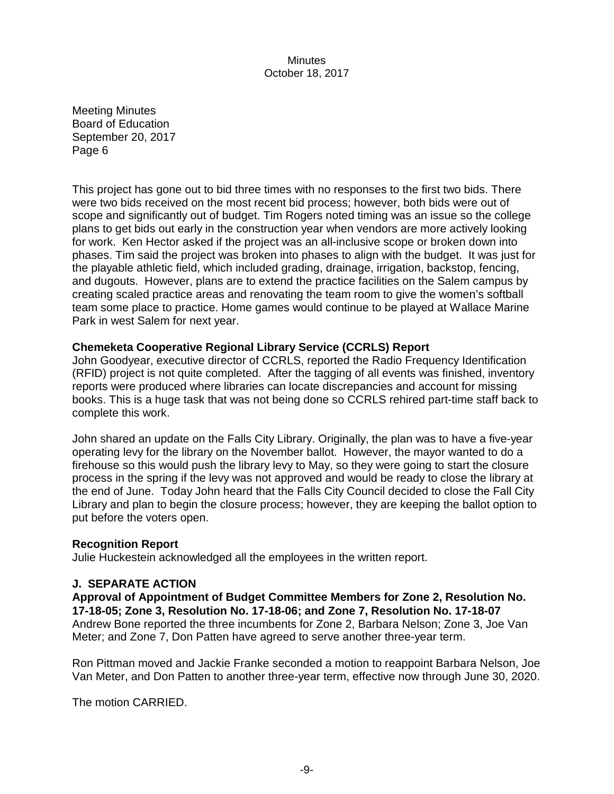Meeting Minutes Board of Education September 20, 2017 Page 6

This project has gone out to bid three times with no responses to the first two bids. There were two bids received on the most recent bid process; however, both bids were out of scope and significantly out of budget. Tim Rogers noted timing was an issue so the college plans to get bids out early in the construction year when vendors are more actively looking for work. Ken Hector asked if the project was an all-inclusive scope or broken down into phases. Tim said the project was broken into phases to align with the budget. It was just for the playable athletic field, which included grading, drainage, irrigation, backstop, fencing, and dugouts. However, plans are to extend the practice facilities on the Salem campus by creating scaled practice areas and renovating the team room to give the women's softball team some place to practice. Home games would continue to be played at Wallace Marine Park in west Salem for next year.

#### **Chemeketa Cooperative Regional Library Service (CCRLS) Report**

John Goodyear, executive director of CCRLS, reported the Radio Frequency Identification (RFID) project is not quite completed. After the tagging of all events was finished, inventory reports were produced where libraries can locate discrepancies and account for missing books. This is a huge task that was not being done so CCRLS rehired part-time staff back to complete this work.

John shared an update on the Falls City Library. Originally, the plan was to have a five-year operating levy for the library on the November ballot. However, the mayor wanted to do a firehouse so this would push the library levy to May, so they were going to start the closure process in the spring if the levy was not approved and would be ready to close the library at the end of June. Today John heard that the Falls City Council decided to close the Fall City Library and plan to begin the closure process; however, they are keeping the ballot option to put before the voters open.

#### **Recognition Report**

Julie Huckestein acknowledged all the employees in the written report.

#### **J. SEPARATE ACTION**

**Approval of Appointment of Budget Committee Members for Zone 2, Resolution No. 17-18-05; Zone 3, Resolution No. 17-18-06; and Zone 7, Resolution No. 17-18-07** Andrew Bone reported the three incumbents for Zone 2, Barbara Nelson; Zone 3, Joe Van Meter; and Zone 7, Don Patten have agreed to serve another three-year term.

Ron Pittman moved and Jackie Franke seconded a motion to reappoint Barbara Nelson, Joe Van Meter, and Don Patten to another three-year term, effective now through June 30, 2020.

The motion CARRIED.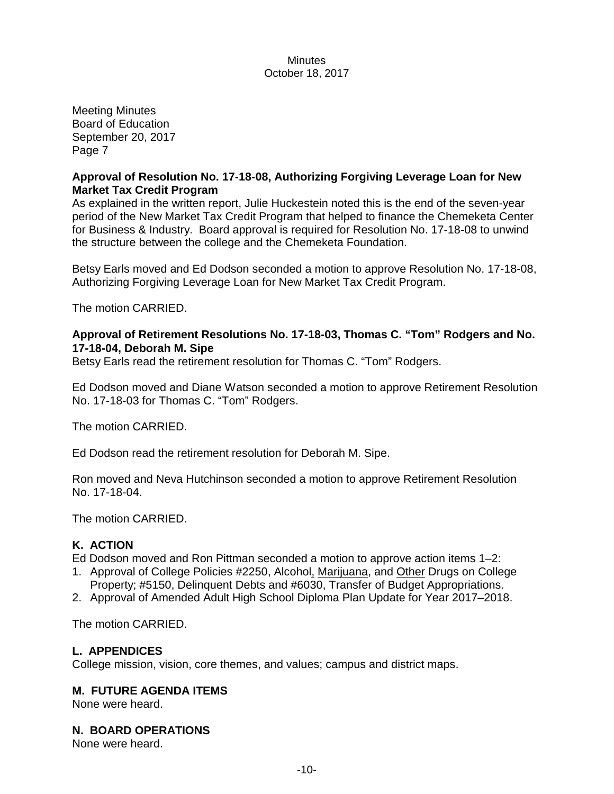Meeting Minutes Board of Education September 20, 2017 Page 7

## **Approval of Resolution No. 17-18-08, Authorizing Forgiving Leverage Loan for New Market Tax Credit Program**

As explained in the written report, Julie Huckestein noted this is the end of the seven-year period of the New Market Tax Credit Program that helped to finance the Chemeketa Center for Business & Industry. Board approval is required for Resolution No. 17-18-08 to unwind the structure between the college and the Chemeketa Foundation.

Betsy Earls moved and Ed Dodson seconded a motion to approve Resolution No. 17-18-08, Authorizing Forgiving Leverage Loan for New Market Tax Credit Program.

The motion CARRIED.

## **Approval of Retirement Resolutions No. 17-18-03, Thomas C. "Tom" Rodgers and No. 17-18-04, Deborah M. Sipe**

Betsy Earls read the retirement resolution for Thomas C. "Tom" Rodgers.

Ed Dodson moved and Diane Watson seconded a motion to approve Retirement Resolution No. 17-18-03 for Thomas C. "Tom" Rodgers.

The motion CARRIED.

Ed Dodson read the retirement resolution for Deborah M. Sipe.

Ron moved and Neva Hutchinson seconded a motion to approve Retirement Resolution No. 17-18-04.

The motion CARRIED.

## **K. ACTION**

Ed Dodson moved and Ron Pittman seconded a motion to approve action items 1–2:

- 1. Approval of College Policies #2250, Alcohol, Marijuana, and Other Drugs on College Property; #5150, Delinquent Debts and #6030, Transfer of Budget Appropriations.
- 2. Approval of Amended Adult High School Diploma Plan Update for Year 2017–2018.

The motion CARRIED.

## **L. APPENDICES**

College mission, vision, core themes, and values; campus and district maps.

# **M. FUTURE AGENDA ITEMS**

None were heard.

## **N. BOARD OPERATIONS**

None were heard.